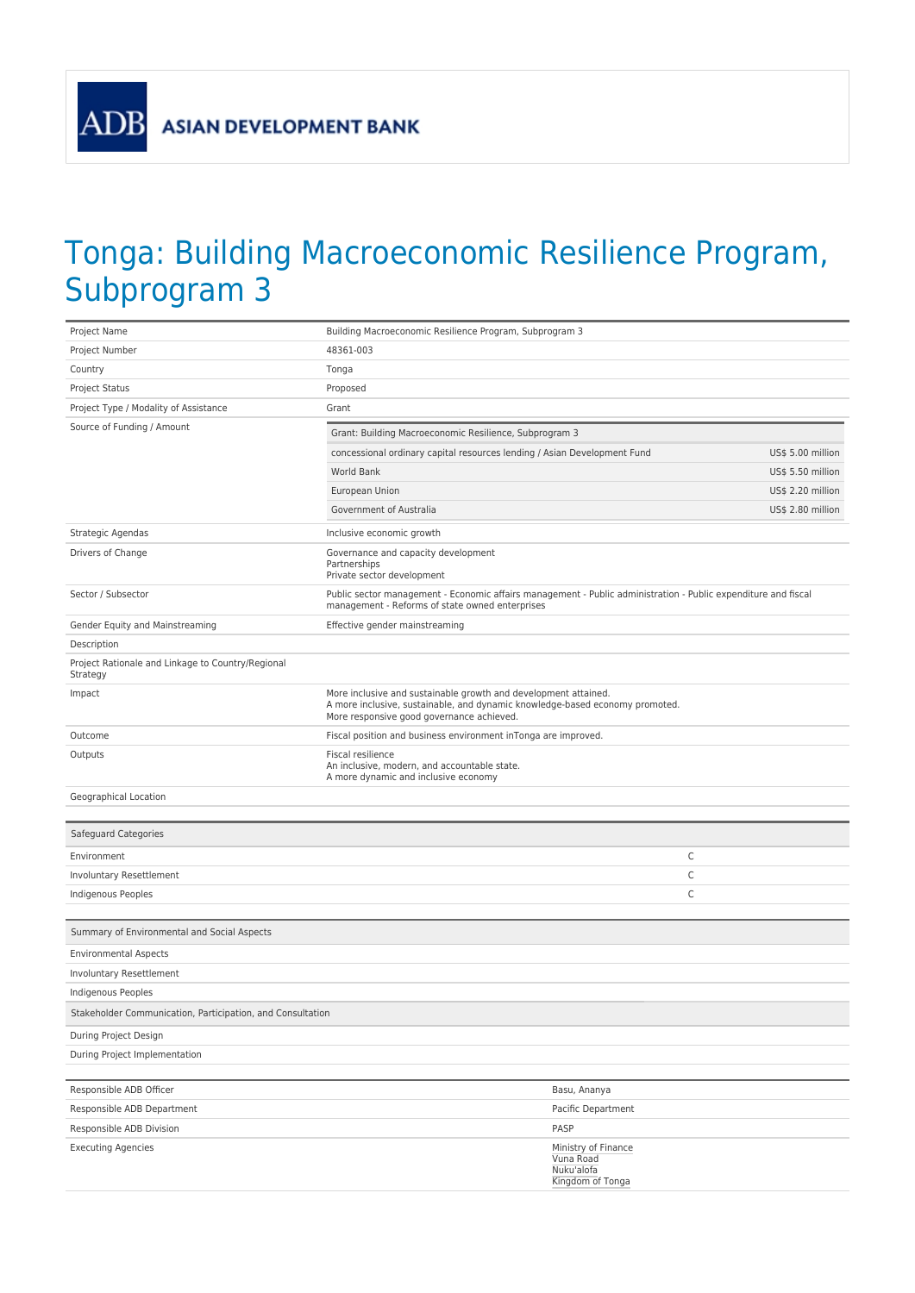**ADB** 

## Tonga: Building Macroeconomic Resilience Program, Subprogram 3

| Project Name                                                  | Building Macroeconomic Resilience Program, Subprogram 3                                                                                                                                      |                                             |                   |
|---------------------------------------------------------------|----------------------------------------------------------------------------------------------------------------------------------------------------------------------------------------------|---------------------------------------------|-------------------|
| Project Number                                                | 48361-003                                                                                                                                                                                    |                                             |                   |
| Country                                                       | Tonga                                                                                                                                                                                        |                                             |                   |
| Project Status                                                | Proposed                                                                                                                                                                                     |                                             |                   |
| Project Type / Modality of Assistance                         | Grant                                                                                                                                                                                        |                                             |                   |
| Source of Funding / Amount                                    | Grant: Building Macroeconomic Resilience, Subprogram 3                                                                                                                                       |                                             |                   |
|                                                               | concessional ordinary capital resources lending / Asian Development Fund                                                                                                                     |                                             | US\$ 5.00 million |
|                                                               | World Bank                                                                                                                                                                                   |                                             | US\$ 5.50 million |
|                                                               | European Union                                                                                                                                                                               |                                             | US\$ 2.20 million |
|                                                               | Government of Australia                                                                                                                                                                      |                                             | US\$ 2.80 million |
| Strategic Agendas                                             | Inclusive economic growth                                                                                                                                                                    |                                             |                   |
| Drivers of Change                                             | Governance and capacity development<br>Partnerships<br>Private sector development                                                                                                            |                                             |                   |
| Sector / Subsector                                            | Public sector management - Economic affairs management - Public administration - Public expenditure and fiscal<br>management - Reforms of state owned enterprises                            |                                             |                   |
| Gender Equity and Mainstreaming                               | Effective gender mainstreaming                                                                                                                                                               |                                             |                   |
| Description                                                   |                                                                                                                                                                                              |                                             |                   |
| Project Rationale and Linkage to Country/Regional<br>Strategy |                                                                                                                                                                                              |                                             |                   |
| Impact                                                        | More inclusive and sustainable growth and development attained.<br>A more inclusive, sustainable, and dynamic knowledge-based economy promoted.<br>More responsive good governance achieved. |                                             |                   |
| Outcome                                                       | Fiscal position and business environment inTonga are improved.                                                                                                                               |                                             |                   |
| Outputs                                                       | Fiscal resilience<br>An inclusive, modern, and accountable state.<br>A more dynamic and inclusive economy                                                                                    |                                             |                   |
| Geographical Location                                         |                                                                                                                                                                                              |                                             |                   |
|                                                               |                                                                                                                                                                                              |                                             |                   |
| Safeguard Categories                                          |                                                                                                                                                                                              |                                             |                   |
| Environment                                                   |                                                                                                                                                                                              |                                             | C                 |
| Involuntary Resettlement                                      |                                                                                                                                                                                              |                                             | С                 |
| Indigenous Peoples                                            |                                                                                                                                                                                              |                                             | C                 |
| Summary of Environmental and Social Aspects                   |                                                                                                                                                                                              |                                             |                   |
| <b>Environmental Aspects</b>                                  |                                                                                                                                                                                              |                                             |                   |
| Involuntary Resettlement                                      |                                                                                                                                                                                              |                                             |                   |
| <b>Indigenous Peoples</b>                                     |                                                                                                                                                                                              |                                             |                   |
| Stakeholder Communication, Participation, and Consultation    |                                                                                                                                                                                              |                                             |                   |
| During Project Design                                         |                                                                                                                                                                                              |                                             |                   |
| During Project Implementation                                 |                                                                                                                                                                                              |                                             |                   |
|                                                               |                                                                                                                                                                                              |                                             |                   |
| Responsible ADB Officer                                       |                                                                                                                                                                                              | Basu, Ananya                                |                   |
| Responsible ADB Department                                    |                                                                                                                                                                                              | Pacific Department                          |                   |
| Responsible ADB Division                                      |                                                                                                                                                                                              | PASP                                        |                   |
| <b>Executing Agencies</b>                                     |                                                                                                                                                                                              | Ministry of Finance                         |                   |
|                                                               |                                                                                                                                                                                              | Vuna Road<br>Nuku'alofa<br>Kingdom of Tonga |                   |